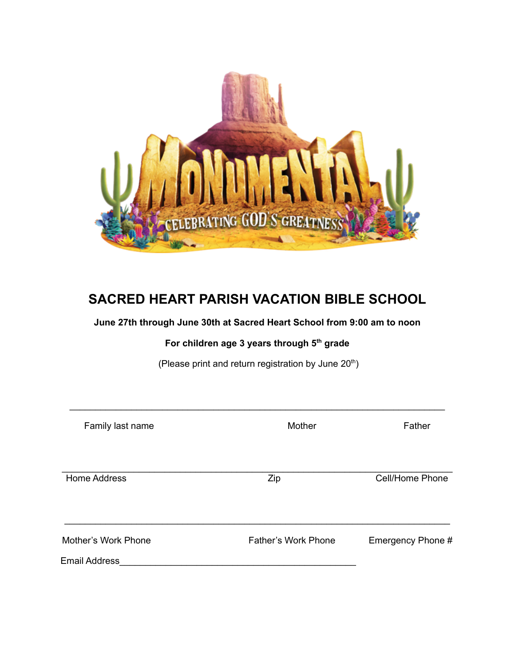

## **SACRED HEART PARISH VACATION BIBLE SCHOOL**

## **June 27th through June 30th at Sacred Heart School from 9:00 am to noon**

## **For children age 3 years through 5 th grade**

(Please print and return registration by June  $20<sup>th</sup>$ )

\_\_\_\_\_\_\_\_\_\_\_\_\_\_\_\_\_\_\_\_\_\_\_\_\_\_\_\_\_\_\_\_\_\_\_\_\_\_\_\_\_\_\_\_\_\_\_\_\_\_\_\_\_\_\_\_\_\_\_\_\_\_\_\_\_\_\_\_\_\_\_\_\_

| Family last name     | Mother                     | Father            |
|----------------------|----------------------------|-------------------|
| Home Address         | Zip                        | Cell/Home Phone   |
| Mother's Work Phone  | <b>Father's Work Phone</b> | Emergency Phone # |
| <b>Email Address</b> |                            |                   |